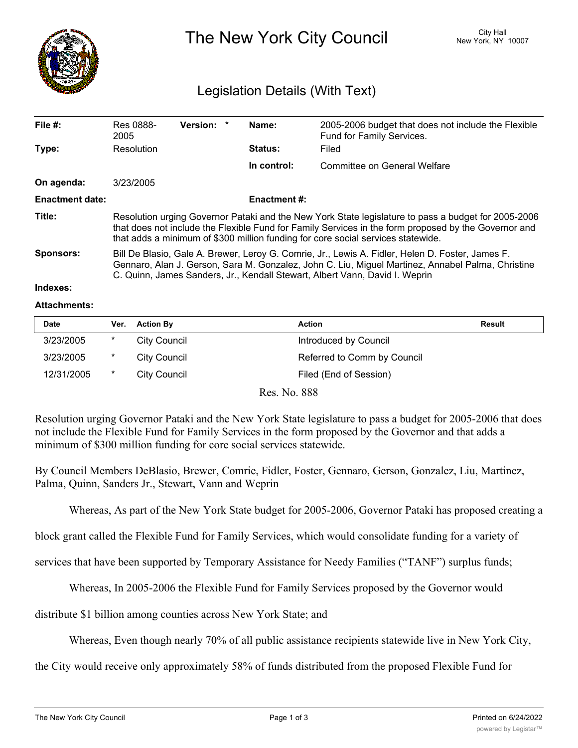

The New York City Council New York, NY 10007

# Legislation Details (With Text)

| File $#$ :             | Res 0888-<br>2005                                                                                                                                                                                                                                                                               | Version: * |  | Name:       | 2005-2006 budget that does not include the Flexible<br>Fund for Family Services. |  |
|------------------------|-------------------------------------------------------------------------------------------------------------------------------------------------------------------------------------------------------------------------------------------------------------------------------------------------|------------|--|-------------|----------------------------------------------------------------------------------|--|
| Type:                  | Resolution                                                                                                                                                                                                                                                                                      |            |  | Status:     | Filed                                                                            |  |
|                        |                                                                                                                                                                                                                                                                                                 |            |  | In control: | Committee on General Welfare                                                     |  |
| On agenda:             | 3/23/2005                                                                                                                                                                                                                                                                                       |            |  |             |                                                                                  |  |
| <b>Enactment date:</b> | <b>Enactment #:</b>                                                                                                                                                                                                                                                                             |            |  |             |                                                                                  |  |
| Title:                 | Resolution urging Governor Pataki and the New York State legislature to pass a budget for 2005-2006<br>that does not include the Flexible Fund for Family Services in the form proposed by the Governor and<br>that adds a minimum of \$300 million funding for core social services statewide. |            |  |             |                                                                                  |  |
| Sponsors:              | Bill De Blasio, Gale A. Brewer, Leroy G. Comrie, Jr., Lewis A. Fidler, Helen D. Foster, James F.<br>Gennaro, Alan J. Gerson, Sara M. Gonzalez, John C. Liu, Miguel Martinez, Annabel Palma, Christine<br>C. Quinn, James Sanders, Jr., Kendall Stewart, Albert Vann, David I. Weprin            |            |  |             |                                                                                  |  |

### **Indexes:**

#### **Attachments:**

| <b>Date</b> | Ver.   | <b>Action By</b> | <b>Action</b>               | <b>Result</b> |
|-------------|--------|------------------|-----------------------------|---------------|
| 3/23/2005   | *      | City Council     | Introduced by Council       |               |
| 3/23/2005   | $\ast$ | City Council     | Referred to Comm by Council |               |
| 12/31/2005  | $\ast$ | City Council     | Filed (End of Session)      |               |

Res. No. 888

Resolution urging Governor Pataki and the New York State legislature to pass a budget for 2005-2006 that does not include the Flexible Fund for Family Services in the form proposed by the Governor and that adds a minimum of \$300 million funding for core social services statewide.

By Council Members DeBlasio, Brewer, Comrie, Fidler, Foster, Gennaro, Gerson, Gonzalez, Liu, Martinez, Palma, Quinn, Sanders Jr., Stewart, Vann and Weprin

Whereas, As part of the New York State budget for 2005-2006, Governor Pataki has proposed creating a

block grant called the Flexible Fund for Family Services, which would consolidate funding for a variety of

services that have been supported by Temporary Assistance for Needy Families ("TANF") surplus funds;

Whereas, In 2005-2006 the Flexible Fund for Family Services proposed by the Governor would

distribute \$1 billion among counties across New York State; and

Whereas, Even though nearly 70% of all public assistance recipients statewide live in New York City,

the City would receive only approximately 58% of funds distributed from the proposed Flexible Fund for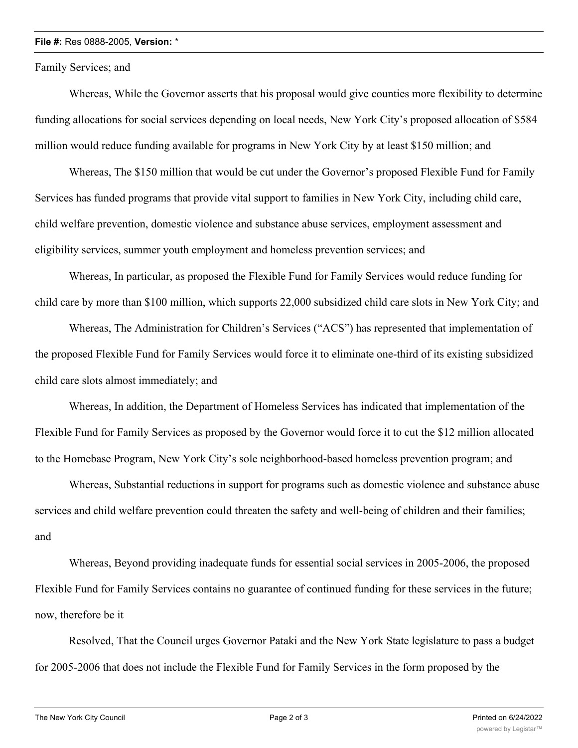## **File #:** Res 0888-2005, **Version:** \*

Family Services; and

Whereas, While the Governor asserts that his proposal would give counties more flexibility to determine funding allocations for social services depending on local needs, New York City's proposed allocation of \$584 million would reduce funding available for programs in New York City by at least \$150 million; and

Whereas, The \$150 million that would be cut under the Governor's proposed Flexible Fund for Family Services has funded programs that provide vital support to families in New York City, including child care, child welfare prevention, domestic violence and substance abuse services, employment assessment and eligibility services, summer youth employment and homeless prevention services; and

Whereas, In particular, as proposed the Flexible Fund for Family Services would reduce funding for child care by more than \$100 million, which supports 22,000 subsidized child care slots in New York City; and

Whereas, The Administration for Children's Services ("ACS") has represented that implementation of the proposed Flexible Fund for Family Services would force it to eliminate one-third of its existing subsidized child care slots almost immediately; and

Whereas, In addition, the Department of Homeless Services has indicated that implementation of the Flexible Fund for Family Services as proposed by the Governor would force it to cut the \$12 million allocated to the Homebase Program, New York City's sole neighborhood-based homeless prevention program; and

Whereas, Substantial reductions in support for programs such as domestic violence and substance abuse services and child welfare prevention could threaten the safety and well-being of children and their families; and

Whereas, Beyond providing inadequate funds for essential social services in 2005-2006, the proposed Flexible Fund for Family Services contains no guarantee of continued funding for these services in the future; now, therefore be it

Resolved, That the Council urges Governor Pataki and the New York State legislature to pass a budget for 2005-2006 that does not include the Flexible Fund for Family Services in the form proposed by the